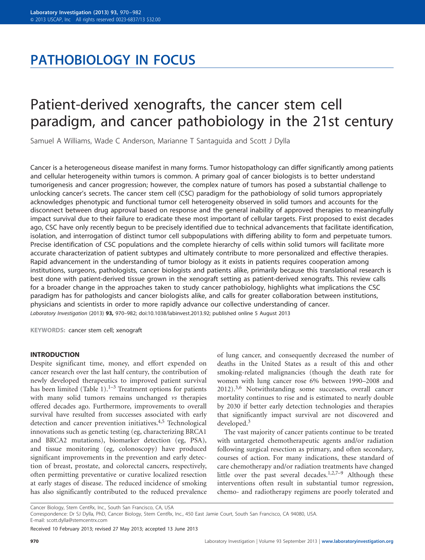# PATHOBIOLOGY IN FOCUS

# Patient-derived xenografts, the cancer stem cell paradigm, and cancer pathobiology in the 21st century

Samuel A Williams, Wade C Anderson, Marianne T Santaguida and Scott J Dylla

Cancer is a heterogeneous disease manifest in many forms. Tumor histopathology can differ significantly among patients and cellular heterogeneity within tumors is common. A primary goal of cancer biologists is to better understand tumorigenesis and cancer progression; however, the complex nature of tumors has posed a substantial challenge to unlocking cancer's secrets. The cancer stem cell (CSC) paradigm for the pathobiology of solid tumors appropriately acknowledges phenotypic and functional tumor cell heterogeneity observed in solid tumors and accounts for the disconnect between drug approval based on response and the general inability of approved therapies to meaningfully impact survival due to their failure to eradicate these most important of cellular targets. First proposed to exist decades ago, CSC have only recently begun to be precisely identified due to technical advancements that facilitate identification, isolation, and interrogation of distinct tumor cell subpopulations with differing ability to form and perpetuate tumors. Precise identification of CSC populations and the complete hierarchy of cells within solid tumors will facilitate more accurate characterization of patient subtypes and ultimately contribute to more personalized and effective therapies. Rapid advancement in the understanding of tumor biology as it exists in patients requires cooperation among institutions, surgeons, pathologists, cancer biologists and patients alike, primarily because this translational research is best done with patient-derived tissue grown in the xenograft setting as patient-derived xenografts. This review calls for a broader change in the approaches taken to study cancer pathobiology, highlights what implications the CSC paradigm has for pathologists and cancer biologists alike, and calls for greater collaboration between institutions, physicians and scientists in order to more rapidly advance our collective understanding of cancer. Laboratory Investigation (2013) 93, 970–982; doi[:10.1038/labinvest.2013.92;](http://dx.doi.org/10.1038/labinvest.2013.92) published online 5 August 2013

KEYWORDS: cancer stem cell; xenograft

### INTRODUCTION

Despite significant time, money, and effort expended on cancer research over the last half century, the contribution of newly developed therapeutics to improved patient survival has been limited ([Table 1\)](#page-1-0). $1-3$  Treatment options for patients with many solid tumors remains unchanged vs therapies offered decades ago. Furthermore, improvements to overall survival have resulted from successes associated with early detection and cancer prevention initiatives.[4,5](#page-10-0) Technological innovations such as genetic testing (eg, characterizing BRCA1 and BRCA2 mutations), biomarker detection (eg, PSA), and tissue monitoring (eg, colonoscopy) have produced significant improvements in the prevention and early detection of breast, prostate, and colorectal cancers, respectively, often permitting preventative or curative localized resection at early stages of disease. The reduced incidence of smoking has also significantly contributed to the reduced prevalence

of lung cancer, and consequently decreased the number of deaths in the United States as a result of this and other smoking-related malignancies (though the death rate for women with lung cancer rose 6% between 1990–2008 and 2012).[3,6](#page-10-0) Notwithstanding some successes, overall cancer mortality continues to rise and is estimated to nearly double by 2030 if better early detection technologies and therapies that significantly impact survival are not discovered and developed.[3](#page-10-0)

The vast majority of cancer patients continue to be treated with untargeted chemotherapeutic agents and/or radiation following surgical resection as primary, and often secondary, courses of action. For many indications, these standard of care chemotherapy and/or radiation treatments have changed little over the past several decades.<sup>[1,2,7–9](#page-10-0)</sup> Although these interventions often result in substantial tumor regression, chemo- and radiotherapy regimens are poorly tolerated and

Correspondence: Dr SJ Dylla, PhD, Cancer Biology, Stem CentRx, Inc., 450 East Jamie Court, South San Francisco, CA 94080, USA. E-mail: [scott.dylla@stemcentrx.com](mailto:scott.dylla@stemcentrx.com)

Received 10 February 2013; revised 27 May 2013; accepted 13 June 2013

Cancer Biology, Stem CentRx, Inc., South San Francisco, CA, USA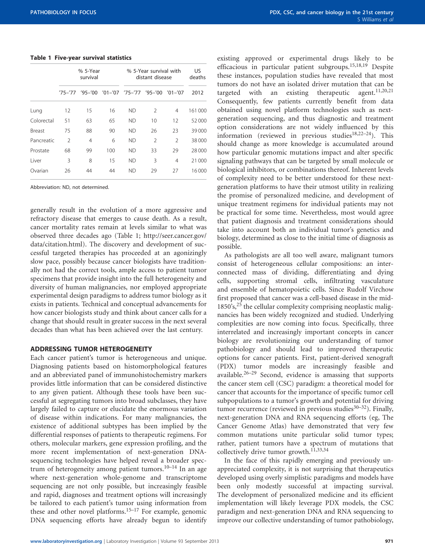|               | % 5-Year<br>survival |    |     | % 5-Year survival with<br>distant disease |                |                | US<br>deaths |
|---------------|----------------------|----|-----|-------------------------------------------|----------------|----------------|--------------|
|               | $75 - 77$            |    |     | '95-'00 '01-'07 '75-'77 '95-'00           |                | $'01 - '07$    | 2012         |
| Lung          | 12                   | 15 | 16  | <b>ND</b>                                 | $\overline{2}$ | 4              | 161000       |
| Colorectal    | 51                   | 63 | 65  | <b>ND</b>                                 | $10 \,$        | 12             | 52000        |
| <b>Breast</b> | 75                   | 88 | 90  | <b>ND</b>                                 | 26             | 23             | 39000        |
| Pancreatic    | $\overline{2}$       | 4  | 6   | <b>ND</b>                                 | $\overline{2}$ | $\overline{2}$ | 38000        |
| Prostate      | 68                   | 99 | 100 | <b>ND</b>                                 | 33             | 29             | 28000        |
| Liver         | 3                    | 8  | 15  | <b>ND</b>                                 | 3              | 4              | 21 000       |
| Ovarian       | 26                   | 44 | 44  | <b>ND</b>                                 | 29             | 27             | 16000        |

#### <span id="page-1-0"></span>Table 1 Five-year survival statistics

Abbreviation: ND, not determined.

generally result in the evolution of a more aggressive and refractory disease that emerges to cause death. As a result, cancer mortality rates remain at levels similar to what was observed three decades ago (Table 1; [http://seer.cancer.gov/](http://seer.cancer.gov/data/citation.html) [data/citation.html](http://seer.cancer.gov/data/citation.html)). The discovery and development of successful targeted therapies has proceeded at an agonizingly slow pace, possibly because cancer biologists have traditionally not had the correct tools, ample access to patient tumor specimens that provide insight into the full heterogeneity and diversity of human malignancies, nor employed appropriate experimental design paradigms to address tumor biology as it exists in patients. Technical and conceptual advancements for how cancer biologists study and think about cancer calls for a change that should result in greater success in the next several decades than what has been achieved over the last century.

#### ADDRESSING TUMOR HETEROGENEITY

Each cancer patient's tumor is heterogeneous and unique. Diagnosing patients based on histomorphological features and an abbreviated panel of immunohistochemistry markers provides little information that can be considered distinctive to any given patient. Although these tools have been successful at segregating tumors into broad subclasses, they have largely failed to capture or elucidate the enormous variation of disease within indications. For many malignancies, the existence of additional subtypes has been implied by the differential responses of patients to therapeutic regimens. For others, molecular markers, gene expression profiling, and the more recent implementation of next-generation DNAsequencing technologies have helped reveal a broader spectrum of heterogeneity among patient tumors.<sup>10-14</sup> In an age where next-generation whole-genome and transcriptome sequencing are not only possible, but increasingly feasible and rapid, diagnoses and treatment options will increasingly be tailored to each patient's tumor using information from these and other novel platforms.<sup>[15–17](#page-10-0)</sup> For example, genomic DNA sequencing efforts have already begun to identify

existing approved or experimental drugs likely to be efficacious in particular patient subgroups.[15,18,19](#page-10-0) Despite these instances, population studies have revealed that most tumors do not have an isolated driver mutation that can be targeted with an existing therapeutic agent.<sup>[11,20,21](#page-10-0)</sup> Consequently, few patients currently benefit from data obtained using novel platform technologies such as nextgeneration sequencing, and thus diagnostic and treatment option considerations are not widely influenced by this information (reviewed in previous studies $18,22-24$ ). This should change as more knowledge is accumulated around how particular genomic mutations impact and alter specific signaling pathways that can be targeted by small molecule or biological inhibitors, or combinations thereof. Inherent levels of complexity need to be better understood for these nextgeneration platforms to have their utmost utility in realizing the promise of personalized medicine, and development of unique treatment regimens for individual patients may not be practical for some time. Nevertheless, most would agree that patient diagnosis and treatment considerations should take into account both an individual tumor's genetics and biology, determined as close to the initial time of diagnosis as possible.

As pathologists are all too well aware, malignant tumors consist of heterogeneous cellular compositions: an interconnected mass of dividing, differentiating and dying cells, supporting stromal cells, infiltrating vasculature and ensemble of hematopoietic cells. Since Rudolf Virchow first proposed that cancer was a cell-based disease in the mid- $1850's$ ,<sup>[25](#page-10-0)</sup> the cellular complexity comprising neoplastic malignancies has been widely recognized and studied. Underlying complexities are now coming into focus. Specifically, three interrelated and increasingly important concepts in cancer biology are revolutionizing our understanding of tumor pathobiology and should lead to improved therapeutic options for cancer patients. First, patient-derived xenograft (PDX) tumor models are increasingly feasible and available.[26–29](#page-10-0) Second, evidence is amassing that supports the cancer stem cell (CSC) paradigm: a theoretical model for cancer that accounts for the importance of specific tumor cell subpopulations to a tumor's growth and potential for driving tumor recurrence (reviewed in previous studies $30-32$ ). Finally, next-generation DNA and RNA sequencing efforts (eg, The Cancer Genome Atlas) have demonstrated that very few common mutations unite particular solid tumor types; rather, patient tumors have a spectrum of mutations that collectively drive tumor growth.<sup>11,33,34</sup>

In the face of this rapidly emerging and previously unappreciated complexity, it is not surprising that therapeutics developed using overly simplistic paradigms and models have been only modestly successful at impacting survival. The development of personalized medicine and its efficient implementation will likely leverage PDX models, the CSC paradigm and next-generation DNA and RNA sequencing to improve our collective understanding of tumor pathobiology,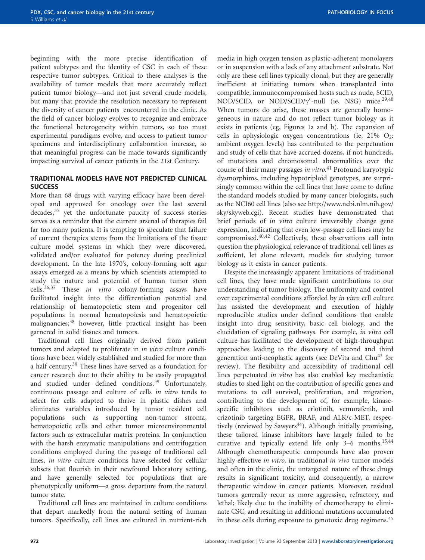beginning with the more precise identification of patient subtypes and the identity of CSC in each of these respective tumor subtypes. Critical to these analyses is the availability of tumor models that more accurately reflect patient tumor biology—and not just several crude models, but many that provide the resolution necessary to represent the diversity of cancer patients encountered in the clinic. As the field of cancer biology evolves to recognize and embrace the functional heterogeneity within tumors, so too must experimental paradigms evolve, and access to patient tumor specimens and interdisciplinary collaboration increase, so that meaningful progress can be made towards significantly impacting survival of cancer patients in the 21st Century.

## TRADITIONAL MODELS HAVE NOT PREDICTED CLINICAL **SUCCESS**

More than 68 drugs with varying efficacy have been developed and approved for oncology over the last several decades, $35$  yet the unfortunate paucity of success stories serves as a reminder that the current arsenal of therapies fail far too many patients. It is tempting to speculate that failure of current therapies stems from the limitations of the tissue culture model systems in which they were discovered, validated and/or evaluated for potency during preclinical development. In the late 1970's, colony-forming soft agar assays emerged as a means by which scientists attempted to study the nature and potential of human tumor stem cells.<sup>[36,37](#page-10-0)</sup> These in vitro colony-forming assays have facilitated insight into the differentiation potential and relationship of hematopoietic stem and progenitor cell populations in normal hematopoiesis and hematopoietic malignancies;<sup>[38](#page-10-0)</sup> however, little practical insight has been garnered in solid tissues and tumors.

Traditional cell lines originally derived from patient tumors and adapted to proliferate in in vitro culture conditions have been widely established and studied for more than a half century.[39](#page-10-0) These lines have served as a foundation for cancer research due to their ability to be easily propagated and studied under defined conditions.<sup>[39](#page-10-0)</sup> Unfortunately, continuous passage and culture of cells in vitro tends to select for cells adapted to thrive in plastic dishes and eliminates variables introduced by tumor resident cell populations such as supporting non-tumor stroma, hematopoietic cells and other tumor microenvironmental factors such as extracellular matrix proteins. In conjunction with the harsh enzymatic manipulations and centrifugation conditions employed during the passage of traditional cell lines, in vitro culture conditions have selected for cellular subsets that flourish in their newfound laboratory setting, and have generally selected for populations that are phenotypically uniform—a gross departure from the natural tumor state.

Traditional cell lines are maintained in culture conditions that depart markedly from the natural setting of human tumors. Specifically, cell lines are cultured in nutrient-rich

media in high oxygen tension as plastic-adherent monolayers or in suspension with a lack of any attachment substrate. Not only are these cell lines typically clonal, but they are generally inefficient at initiating tumors when transplanted into compatible, immunocompromised hosts such as nude, SCID, NOD/SCID, or NOD/SCID/ $\gamma^c$ -null (ie, NSG) mice.<sup>[29,40](#page-10-0)</sup> When tumors do arise, these masses are generally homogeneous in nature and do not reflect tumor biology as it exists in patients (eg, [Figures 1a and b](#page-3-0)). The expansion of cells in aphysiologic oxygen concentrations (ie,  $21\%$  O<sub>2</sub>: ambient oxygen levels) has contributed to the perpetuation and study of cells that have accrued dozens, if not hundreds, of mutations and chromosomal abnormalities over the course of their many passages in vitro.<sup>[41](#page-10-0)</sup> Profound karyotypic dysmorphims, including hypotriploid genotypes, are surprisingly common within the cell lines that have come to define the standard models studied by many cancer biologists, such as the NCI60 cell lines (also see [http://www.ncbi.nlm.nih.gov/](http://www.ncbi.nlm.nih.gov/sky/skyweb.cgi) [sky/skyweb.cgi](http://www.ncbi.nlm.nih.gov/sky/skyweb.cgi)). Recent studies have demonstrated that brief periods of in vitro culture irreversibly change gene expression, indicating that even low-passage cell lines may be compromised.[40,42](#page-10-0) Collectively, these observations call into question the physiological relevance of traditional cell lines as sufficient, let alone relevant, models for studying tumor biology as it exists in cancer patients.

Despite the increasingly apparent limitations of traditional cell lines, they have made significant contributions to our understanding of tumor biology. The uniformity and control over experimental conditions afforded by in vitro cell culture has assisted the development and execution of highly reproducible studies under defined conditions that enable insight into drug sensitivity, basic cell biology, and the elucidation of signaling pathways. For example, in vitro cell culture has facilitated the development of high-throughput approaches leading to the discovery of second and third generation anti-neoplastic agents (see DeVita and Chu<sup>[43](#page-11-0)</sup> for review). The flexibility and accessibility of traditional cell lines perpetuated in vitro has also enabled key mechanistic studies to shed light on the contribution of specific genes and mutations to cell survival, proliferation, and migration, contributing to the development of, for example, kinasespecific inhibitors such as erlotinib, vemurafenib, and crizotinib targeting EGFR, BRAF, and ALK/c-MET, respectively (reviewed by Sawyers $44$ ). Although initially promising, these tailored kinase inhibitors have largely failed to be curative and typically extend life only 3–6 months.[15,44](#page-10-0) Although chemotherapeutic compounds have also proven highly effective in vitro, in traditional in vivo tumor models and often in the clinic, the untargeted nature of these drugs results in significant toxicity, and consequently, a narrow therapeutic window in cancer patients. Moreover, residual tumors generally recur as more aggressive, refractory, and lethal; likely due to the inability of chemotherapy to eliminate CSC, and resulting in additional mutations accumulated in these cells during exposure to genotoxic drug regimens.[45](#page-11-0)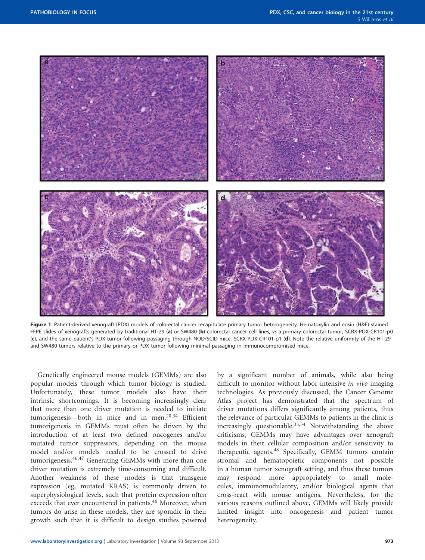<span id="page-3-0"></span>

Figure 1 Patient-derived xenograft (PDX) models of colorectal cancer recapitulate primary tumor heterogeneity. Hematoxylin and eosin (H&E) stained FFPE slides of xenografts generated by traditional HT-29 (a) or SW480 (b) colorectal cancer cell lines, vs a primary colorectal tumor, SCRX-PDX-CR101-p0 (c), and the same patient's PDX tumor following passaging through NOD/SCID mice, SCRX-PDX-CR101-p1 (d). Note the relative uniformity of the HT-29 and SW480 tumors relative to the primary or PDX tumor following minimal passaging in immunocompromised mice.

Genetically engineered mouse models (GEMMs) are also popular models through which tumor biology is studied. Unfortunately, these tumor models also have their intrinsic shortcomings. It is becoming increasingly clear that more than one driver mutation is needed to initiate tumorigenesis—both in mice and in men.[20,34](#page-10-0) Efficient tumorigenesis in GEMMs must often be driven by the introduction of at least two defined oncogenes and/or mutated tumor suppressors, depending on the mouse model and/or models needed to be crossed to drive tumorigenesis.[46,47](#page-11-0) Generating GEMMs with more than one driver mutation is extremely time-consuming and difficult. Another weakness of these models is that transgene expression (eg, mutated KRAS) is commonly driven to superphysiological levels, such that protein expression often exceeds that ever encountered in patients.<sup>[46](#page-11-0)</sup> Moreover, when tumors do arise in these models, they are sporadic in their growth such that it is difficult to design studies powered

by a significant number of animals, while also being difficult to monitor without labor-intensive in vivo imaging technologies. As previously discussed, the Cancer Genome Atlas project has demonstrated that the spectrum of driver mutations differs significantly among patients, thus the relevance of particular GEMMs to patients in the clinic is increasingly questionable. $33,34$  Notwithstanding the above criticisms, GEMMs may have advantages over xenograft models in their cellular composition and/or sensitivity to therapeutic agents.[48](#page-11-0) Specifically, GEMM tumors contain stromal and hematopoietic components not possible in a human tumor xenograft setting, and thus these tumors may respond more appropriately to small molecules, immunomodulatory, and/or biological agents that cross-react with mouse antigens. Nevertheless, for the various reasons outlined above, GEMMs will likely provide limited insight into oncogenesis and patient tumor heterogeneity.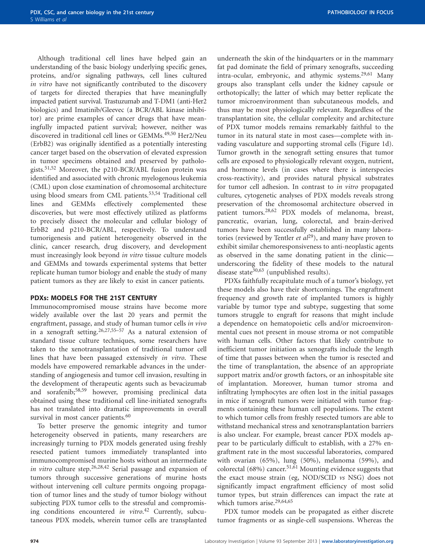Although traditional cell lines have helped gain an understanding of the basic biology underlying specific genes, proteins, and/or signaling pathways, cell lines cultured in vitro have not significantly contributed to the discovery of targets for directed therapies that have meaningfully impacted patient survival. Trastuzumab and T-DM1 (anti-Her2 biologics) and Imatinib/Gleevec (a BCR/ABL kinase inhibitor) are prime examples of cancer drugs that have meaningfully impacted patient survival; however, neither was discovered in traditional cell lines or GEMMs.<sup>[49,50](#page-11-0)</sup> Her2/Neu (ErbB2) was originally identified as a potentially interesting cancer target based on the observation of elevated expression in tumor specimens obtained and preserved by pathologists.[51,52](#page-11-0) Moreover, the p210-BCR/ABL fusion protein was identified and associated with chronic myelogenous leukemia (CML) upon close examination of chromosomal architecture using blood smears from CML patients.<sup>[53,54](#page-11-0)</sup> Traditional cell lines and GEMMs effectively complemented these discoveries, but were most effectively utilized as platforms to precisely dissect the molecular and cellular biology of ErbB2 and p210-BCR/ABL, respectively. To understand tumorigenesis and patient heterogeneity observed in the clinic, cancer research, drug discovery, and development must increasingly look beyond *in vitro* tissue culture models and GEMMs and towards experimental systems that better replicate human tumor biology and enable the study of many patient tumors as they are likely to exist in cancer patients.

### PDXs: MODELS FOR THE 21ST CENTURY

Immunocompromised mouse strains have become more widely available over the last 20 years and permit the engraftment, passage, and study of human tumor cells in vivo in a xenograft setting.<sup>[26,27,55–57](#page-10-0)</sup> As a natural extension of standard tissue culture techniques, some researchers have taken to the xenotransplantation of traditional tumor cell lines that have been passaged extensively in vitro. These models have empowered remarkable advances in the understanding of angiogenesis and tumor cell invasion, resulting in the development of therapeutic agents such as bevacizumab and sorafenib;[58,59](#page-11-0) however, promising preclinical data obtained using these traditional cell line-initiated xenografts has not translated into dramatic improvements in overall survival in most cancer patients.<sup>60</sup>

To better preserve the genomic integrity and tumor heterogeneity observed in patients, many researchers are increasingly turning to PDX models generated using freshly resected patient tumors immediately transplanted into immunocompromised murine hosts without an intermediate in vitro culture step.<sup>[26,28,42](#page-10-0)</sup> Serial passage and expansion of tumors through successive generations of murine hosts without intervening cell culture permits ongoing propagation of tumor lines and the study of tumor biology without subjecting PDX tumor cells to the stressful and compromis-ing conditions encountered in vitro.<sup>[42](#page-11-0)</sup> Currently, subcutaneous PDX models, wherein tumor cells are transplanted

underneath the skin of the hindquarters or in the mammary fat pad dominate the field of primary xenografts, succeeding intra-ocular, embryonic, and athymic systems.<sup>[29,61](#page-10-0)</sup> Many groups also transplant cells under the kidney capsule or orthotopically; the latter of which may better replicate the tumor microenvironment than subcutaneous models, and thus may be most physiologically relevant. Regardless of the transplantation site, the cellular complexity and architecture of PDX tumor models remains remarkably faithful to the tumor in its natural state in most cases—complete with invading vasculature and supporting stromal cells [\(Figure 1d\)](#page-3-0). Tumor growth in the xenograft setting ensures that tumor cells are exposed to physiologically relevant oxygen, nutrient, and hormone levels (in cases where there is interspecies cross-reactivity), and provides natural physical substrates for tumor cell adhesion. In contrast to in vitro propagated cultures, cytogenetic analyses of PDX models reveals strong preservation of the chromosomal architecture observed in patient tumors.<sup>[28,62](#page-10-0)</sup> PDX models of melanoma, breast, pancreatic, ovarian, lung, colorectal, and brain-derived tumors have been successfully established in many laboratories (reviewed by Tentler *et al*<sup>29</sup>), and many have proven to exhibit similar chemoresponsiveness to anti-neoplastic agents as observed in the same donating patient in the clinic underscoring the fidelity of these models to the natural disease state $30,63$  (unpublished results).

PDXs faithfully recapitulate much of a tumor's biology, yet these models also have their shortcomings. The engraftment frequency and growth rate of implanted tumors is highly variable by tumor type and subtype, suggesting that some tumors struggle to engraft for reasons that might include a dependence on hematopoietic cells and/or microenvironmental cues not present in mouse stroma or not compatible with human cells. Other factors that likely contribute to inefficient tumor initiation as xenografts include the length of time that passes between when the tumor is resected and the time of transplantation, the absence of an appropriate support matrix and/or growth factors, or an inhospitable site of implantation. Moreover, human tumor stroma and infiltrating lymphocytes are often lost in the initial passages in mice if xenograft tumors were initiated with tumor fragments containing these human cell populations. The extent to which tumor cells from freshly resected tumors are able to withstand mechanical stress and xenotransplantation barriers is also unclear. For example, breast cancer PDX models appear to be particularly difficult to establish, with a 27% engraftment rate in the most successful laboratories, compared with ovarian (65%), lung (50%), melanoma (59%), and colorectal (68%) cancer.<sup>[51,61](#page-11-0)</sup> Mounting evidence suggests that the exact mouse strain (eg, NOD/SCID vs NSG) does not significantly impact engraftment efficiency of most solid tumor types, but strain differences can impact the rate at which tumors arise.<sup>[29,64,65](#page-10-0)</sup>

PDX tumor models can be propagated as either discrete tumor fragments or as single-cell suspensions. Whereas the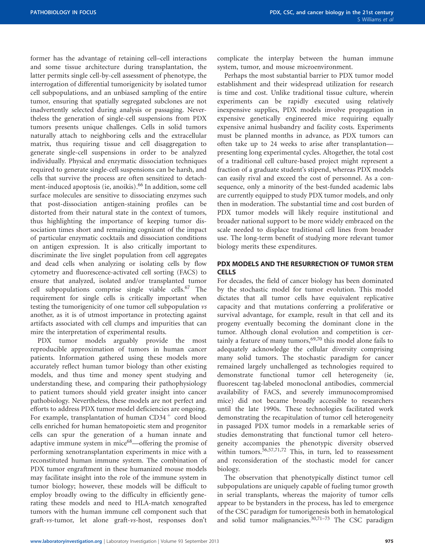former has the advantage of retaining cell–cell interactions and some tissue architecture during transplantation, the latter permits single cell-by-cell assessment of phenotype, the interrogation of differential tumorigenicity by isolated tumor cell subpopulations, and an unbiased sampling of the entire tumor, ensuring that spatially segregated subclones are not inadvertently selected during analysis or passaging. Nevertheless the generation of single-cell suspensions from PDX tumors presents unique challenges. Cells in solid tumors naturally attach to neighboring cells and the extracellular matrix, thus requiring tissue and cell disaggregation to generate single-cell suspensions in order to be analyzed individually. Physical and enzymatic dissociation techniques required to generate single-cell suspensions can be harsh, and cells that survive the process are often sensitized to detach-ment-induced apoptosis (ie, anoikis).<sup>[66](#page-11-0)</sup> In addition, some cell surface molecules are sensitive to dissociating enzymes such that post-dissociation antigen-staining profiles can be distorted from their natural state in the context of tumors, thus highlighting the importance of keeping tumor dissociation times short and remaining cognizant of the impact of particular enzymatic cocktails and dissociation conditions on antigen expression. It is also critically important to discriminate the live singlet population from cell aggregates and dead cells when analyzing or isolating cells by flow cytometry and fluorescence-activated cell sorting (FACS) to ensure that analyzed, isolated and/or transplanted tumor cell subpopulations comprise single viable cells. $67$  The requirement for single cells is critically important when testing the tumorigenicity of one tumor cell subpopulation vs another, as it is of utmost importance in protecting against artifacts associated with cell clumps and impurities that can mire the interpretation of experimental results.

PDX tumor models arguably provide the most reproducible approximation of tumors in human cancer patients. Information gathered using these models more accurately reflect human tumor biology than other existing models, and thus time and money spent studying and understanding these, and comparing their pathophysiology to patient tumors should yield greater insight into cancer pathobiology. Nevertheless, these models are not perfect and efforts to address PDX tumor model deficiencies are ongoing. For example, transplantation of human  $CD34^+$  cord blood cells enriched for human hematopoietic stem and progenitor cells can spur the generation of a human innate and adaptive immune system in mice<sup>68</sup>—offering the promise of performing xenotransplantation experiments in mice with a reconstituted human immune system. The combination of PDX tumor engraftment in these humanized mouse models may facilitate insight into the role of the immune system in tumor biology; however, these models will be difficult to employ broadly owing to the difficulty in efficiently generating these models and need to HLA-match xenografted tumors with the human immune cell component such that graft-vs-tumor, let alone graft-vs-host, responses don't

complicate the interplay between the human immune system, tumor, and mouse microenvironment.

Perhaps the most substantial barrier to PDX tumor model establishment and their widespread utilization for research is time and cost. Unlike traditional tissue culture, wherein experiments can be rapidly executed using relatively inexpensive supplies, PDX models involve propagation in expensive genetically engineered mice requiring equally expensive animal husbandry and facility costs. Experiments must be planned months in advance, as PDX tumors can often take up to 24 weeks to arise after transplantation presenting long experimental cycles. Altogether, the total cost of a traditional cell culture-based project might represent a fraction of a graduate student's stipend, whereas PDX models can easily rival and exceed the cost of personnel. As a consequence, only a minority of the best-funded academic labs are currently equipped to study PDX tumor models, and only then in moderation. The substantial time and cost burden of PDX tumor models will likely require institutional and broader national support to be more widely embraced on the scale needed to displace traditional cell lines from broader use. The long-term benefit of studying more relevant tumor biology merits these expenditures.

# PDX MODELS AND THE RESURRECTION OF TUMOR STEM CELLS

For decades, the field of cancer biology has been dominated by the stochastic model for tumor evolution. This model dictates that all tumor cells have equivalent replicative capacity and that mutations conferring a proliferative or survival advantage, for example, result in that cell and its progeny eventually becoming the dominant clone in the tumor. Although clonal evolution and competition is certainly a feature of many tumors,  $69,70$  this model alone fails to adequately acknowledge the cellular diversity comprising many solid tumors. The stochastic paradigm for cancer remained largely unchallenged as technologies required to demonstrate functional tumor cell heterogeneity (ie, fluorescent tag-labeled monoclonal antibodies, commercial availability of FACS, and severely immunocompromised mice) did not became broadly accessible to researchers until the late 1990s. These technologies facilitated work demonstrating the recapitulation of tumor cell heterogeneity in passaged PDX tumor models in a remarkable series of studies demonstrating that functional tumor cell heterogeneity accompanies the phenotypic diversity observed within tumors.<sup>[56,57,71,72](#page-11-0)</sup> This, in turn, led to reassessment and reconsideration of the stochastic model for cancer biology.

The observation that phenotypically distinct tumor cell subpopulations are uniquely capable of fueling tumor growth in serial transplants, whereas the majority of tumor cells appear to be bystanders in the process, has led to emergence of the CSC paradigm for tumorigenesis both in hematological and solid tumor malignancies. $30,71-73$  The CSC paradigm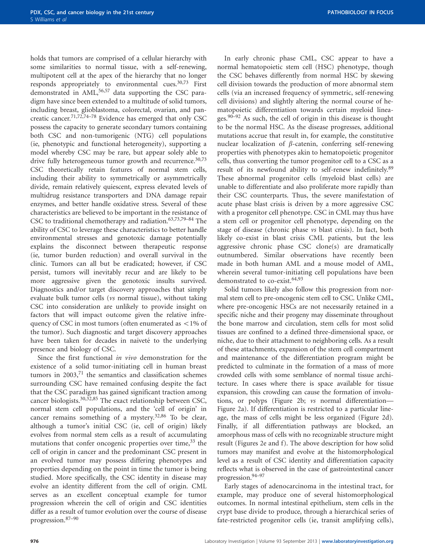holds that tumors are comprised of a cellular hierarchy with some similarities to normal tissue, with a self-renewing, multipotent cell at the apex of the hierarchy that no longer responds appropriately to environmental cues.<sup>[30,73](#page-10-0)</sup> First demonstrated in AML,<sup>[56,57](#page-11-0)</sup> data supporting the CSC paradigm have since been extended to a multitude of solid tumors, including breast, glioblastoma, colorectal, ovarian, and pancreatic cancer.[71,72,74–78](#page-11-0) Evidence has emerged that only CSC possess the capacity to generate secondary tumors containing both CSC and non-tumorigenic (NTG) cell populations (ie, phenotypic and functional heterogeneity), supporting a model whereby CSC may be rare, but appear solely able to drive fully heterogeneous tumor growth and recurrence.<sup>[30,73](#page-10-0)</sup> CSC theoretically retain features of normal stem cells, including their ability to symmetrically or asymmetrically divide, remain relatively quiescent, express elevated levels of multidrug resistance transporters and DNA damage repair enzymes, and better handle oxidative stress. Several of these characteristics are believed to be important in the resistance of CSC to traditional chemotherapy and radiation.[63,73,79–84](#page-11-0) The ability of CSC to leverage these characteristics to better handle environmental stresses and genotoxic damage potentially explains the disconnect between therapeutic response (ie, tumor burden reduction) and overall survival in the clinic. Tumors can all but be eradicated; however, if CSC persist, tumors will inevitably recur and are likely to be more aggressive given the genotoxic insults survived. Diagnostics and/or target discovery approaches that simply evaluate bulk tumor cells (vs normal tissue), without taking CSC into consideration are unlikely to provide insight on factors that will impact outcome given the relative infrequency of CSC in most tumors (often enumerated as  $\langle 1\%$  of the tumor). Such diagnostic and target discovery approaches have been taken for decades in naiveté to the underlying presence and biology of CSC.

Since the first functional in vivo demonstration for the existence of a solid tumor-initiating cell in human breast tumors in  $2003$ , $71$  the semantics and classification schemes surrounding CSC have remained confusing despite the fact that the CSC paradigm has gained significant traction among cancer biologists.[30,32,85](#page-10-0) The exact relationship between CSC, normal stem cell populations, and the 'cell of origin' in cancer remains something of a mystery. $32,86$  To be clear, although a tumor's initial CSC (ie, cell of origin) likely evolves from normal stem cells as a result of accumulating mutations that confer oncogenic properties over time,  $33$  the cell of origin in cancer and the predominant CSC present in an evolved tumor may possess differing phenotypes and properties depending on the point in time the tumor is being studied. More specifically, the CSC identity in disease may evolve an identity different from the cell of origin. CML serves as an excellent conceptual example for tumor progression wherein the cell of origin and CSC identities differ as a result of tumor evolution over the course of disease progression.[87–90](#page-11-0)

In early chronic phase CML, CSC appear to have a normal hematopoietic stem cell (HSC) phenotype, though the CSC behaves differently from normal HSC by skewing cell division towards the production of more abnormal stem cells (via an increased frequency of symmetric, self-renewing cell divisions) and slightly altering the normal course of hematopoietic differentiation towards certain myeloid lineages.[90–92](#page-11-0) As such, the cell of origin in this disease is thought to be the normal HSC. As the disease progresses, additional mutations accrue that result in, for example, the constitutive nuclear localization of  $\beta$ -catenin, conferring self-renewing properties with phenotypes akin to hematopoietic progenitor cells, thus converting the tumor progenitor cell to a CSC as a result of its newfound ability to self-renew indefinitely.[89](#page-11-0) These abnormal progenitor cells (myeloid blast cells) are unable to differentiate and also proliferate more rapidly than their CSC counterparts. Thus, the severe manifestation of acute phase blast crisis is driven by a more aggressive CSC with a progenitor cell phenotype. CSC in CML may thus have a stem cell or progenitor cell phenotype, depending on the stage of disease (chronic phase vs blast crisis). In fact, both likely co-exist in blast crisis CML patients, but the less aggressive chronic phase CSC clone(s) are dramatically outnumbered. Similar observations have recently been made in both human AML and a mouse model of AML, wherein several tumor-initiating cell populations have been demonstrated to co-exist.<sup>[64,93](#page-11-0)</sup>

Solid tumors likely also follow this progression from normal stem cell to pre-oncogenic stem cell to CSC. Unlike CML, where pre-oncogenic HSCs are not necessarily retained in a specific niche and their progeny may disseminate throughout the bone marrow and circulation, stem cells for most solid tissues are confined to a defined three-dimensional space, or niche, due to their attachment to neighboring cells. As a result of these attachments, expansion of the stem cell compartment and maintenance of the differentiation program might be predicted to culminate in the formation of a mass of more crowded cells with some semblance of normal tissue architecture. In cases where there is space available for tissue expansion, this crowding can cause the formation of involutions, or polyps ([Figure 2b;](#page-7-0) vs normal differentiation— [Figure 2a](#page-7-0)). If differentiation is restricted to a particular lineage, the mass of cells might be less organized [\(Figure 2d\)](#page-7-0). Finally, if all differentiation pathways are blocked, an amorphous mass of cells with no recognizable structure might result [\(Figures 2e and f](#page-7-0)). The above description for how solid tumors may manifest and evolve at the histomorphological level as a result of CSC identity and differentiation capacity reflects what is observed in the case of gastrointestinal cancer progression[.94–97](#page-11-0)

Early stages of adenocarcinoma in the intestinal tract, for example, may produce one of several histomorphological outcomes. In normal intestinal epithelium, stem cells in the crypt base divide to produce, through a hierarchical series of fate-restricted progenitor cells (ie, transit amplifying cells),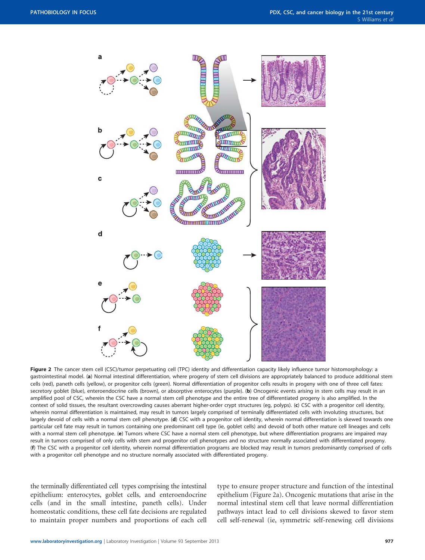<span id="page-7-0"></span>

Figure 2 The cancer stem cell (CSC)/tumor perpetuating cell (TPC) identity and differentiation capacity likely influence tumor histomorphology: a gastrointestinal model. (a) Normal intestinal differentiation, where progeny of stem cell divisions are appropriately balanced to produce additional stem cells (red), paneth cells (yellow), or progenitor cells (green). Normal differentiation of progenitor cells results in progeny with one of three cell fates: secretory goblet (blue), enteroendocrine cells (brown), or absorptive enterocytes (purple). (b) Oncogenic events arising in stem cells may result in an amplified pool of CSC, wherein the CSC have a normal stem cell phenotype and the entire tree of differentiated progeny is also amplified. In the context of solid tissues, the resultant overcrowding causes aberrant higher-order crypt structures (eg, polyps). (c) CSC with a progenitor cell identity, wherein normal differentiation is maintained, may result in tumors largely comprised of terminally differentiated cells with involuting structures, but largely devoid of cells with a normal stem cell phenotype. (d) CSC with a progenitor cell identity, wherein normal differentiation is skewed towards one particular cell fate may result in tumors containing one predominant cell type (ie, goblet cells) and devoid of both other mature cell lineages and cells with a normal stem cell phenotype. (e) Tumors where CSC have a normal stem cell phenotype, but where differentiation programs are impaired may result in tumors comprised of only cells with stem and progenitor cell phenotypes and no structure normally associated with differentiated progeny. (f) The CSC with a progenitor cell identity, wherein normal differentiation programs are blocked may result in tumors predominantly comprised of cells with a progenitor cell phenotype and no structure normally associated with differentiated progeny.

the terminally differentiated cell types comprising the intestinal epithelium: enterocytes, goblet cells, and enteroendocrine cells (and in the small intestine, paneth cells). Under homeostatic conditions, these cell fate decisions are regulated to maintain proper numbers and proportions of each cell

type to ensure proper structure and function of the intestinal epithelium (Figure 2a). Oncogenic mutations that arise in the normal intestinal stem cell that leave normal differentiation pathways intact lead to cell divisions skewed to favor stem cell self-renewal (ie, symmetric self-renewing cell divisions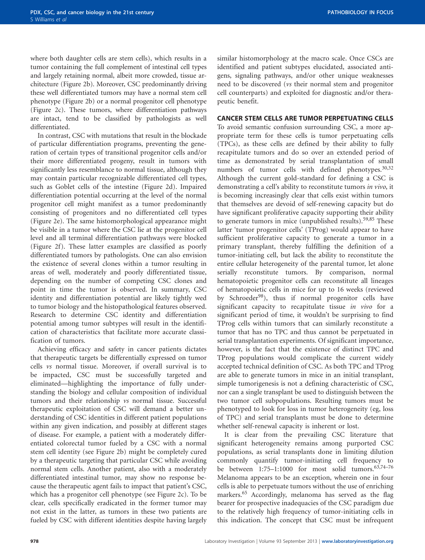where both daughter cells are stem cells), which results in a tumor containing the full complement of intestinal cell types and largely retaining normal, albeit more crowded, tissue architecture [\(Figure 2b](#page-7-0)). Moreover, CSC predominantly driving these well differentiated tumors may have a normal stem cell phenotype [\(Figure 2b\)](#page-7-0) or a normal progenitor cell phenotype [\(Figure 2c](#page-7-0)). These tumors, where differentiation pathways are intact, tend to be classified by pathologists as well differentiated.

In contrast, CSC with mutations that result in the blockade of particular differentiation programs, preventing the generation of certain types of transitional progenitor cells and/or their more differentiated progeny, result in tumors with significantly less resemblance to normal tissue, although they may contain particular recognizable differentiated cell types, such as Goblet cells of the intestine ([Figure 2d](#page-7-0)). Impaired differentiation potential occurring at the level of the normal progenitor cell might manifest as a tumor predominantly consisting of progenitors and no differentiated cell types [\(Figure 2e\)](#page-7-0). The same histomorphological appearance might be visible in a tumor where the CSC lie at the progenitor cell level and all terminal differentiation pathways were blocked [\(Figure 2f](#page-7-0)). These latter examples are classified as poorly differentiated tumors by pathologists. One can also envision the existence of several clones within a tumor resulting in areas of well, moderately and poorly differentiated tissue, depending on the number of competing CSC clones and point in time the tumor is observed. In summary, CSC identity and differentiation potential are likely tightly wed to tumor biology and the histopathological features observed. Research to determine CSC identity and differentiation potential among tumor subtypes will result in the identification of characteristics that facilitate more accurate classification of tumors.

Achieving efficacy and safety in cancer patients dictates that therapeutic targets be differentially expressed on tumor cells vs normal tissue. Moreover, if overall survival is to be impacted, CSC must be successfully targeted and eliminated—highlighting the importance of fully understanding the biology and cellular composition of individual tumors and their relationship vs normal tissue. Successful therapeutic exploitation of CSC will demand a better understanding of CSC identities in different patient populations within any given indication, and possibly at different stages of disease. For example, a patient with a moderately differentiated colorectal tumor fueled by a CSC with a normal stem cell identity (see [Figure 2b\)](#page-7-0) might be completely cured by a therapeutic targeting that particular CSC while avoiding normal stem cells. Another patient, also with a moderately differentiated intestinal tumor, may show no response because the therapeutic agent fails to impact that patient's CSC, which has a progenitor cell phenotype (see [Figure 2c](#page-7-0)). To be clear, cells specifically eradicated in the former tumor may not exist in the latter, as tumors in these two patients are fueled by CSC with different identities despite having largely

similar histomorphology at the macro scale. Once CSCs are identified and patient subtypes elucidated, associated antigens, signaling pathways, and/or other unique weaknesses need to be discovered (vs their normal stem and progenitor cell counterparts) and exploited for diagnostic and/or therapeutic benefit.

## CANCER STEM CELLS ARE TUMOR PERPETUATING CELLS

To avoid semantic confusion surrounding CSC, a more appropriate term for these cells is tumor perpetuating cells (TPCs), as these cells are defined by their ability to fully recapitulate tumors and do so over an extended period of time as demonstrated by serial transplantation of small numbers of tumor cells with defined phenotypes.<sup>[30,32](#page-10-0)</sup> Although the current gold-standard for defining a CSC is demonstrating a cell's ability to reconstitute tumors in vivo, it is becoming increasingly clear that cells exist within tumors that themselves are devoid of self-renewing capacity but do have significant proliferative capacity supporting their ability to generate tumors in mice (unpublished results).<sup>[59,85](#page-11-0)</sup> These latter 'tumor progenitor cells' (TProg) would appear to have sufficient proliferative capacity to generate a tumor in a primary transplant, thereby fulfilling the definition of a tumor-initiating cell, but lack the ability to reconstitute the entire cellular heterogeneity of the parental tumor, let alone serially reconstitute tumors. By comparison, normal hematopoietic progenitor cells can reconstitute all lineages of hematopoietic cells in mice for up to 16 weeks (reviewed by Schroeder<sup>[98](#page-12-0)</sup>), thus if normal progenitor cells have significant capacity to recapitulate tissue in vivo for a significant period of time, it wouldn't be surprising to find TProg cells within tumors that can similarly reconstitute a tumor that has no TPC and thus cannot be perpetuated in serial transplantation experiments. Of significant importance, however, is the fact that the existence of distinct TPC and TProg populations would complicate the current widely accepted technical definition of CSC. As both TPC and TProg are able to generate tumors in mice in an initial transplant, simple tumorigenesis is not a defining characteristic of CSC, nor can a single transplant be used to distinguish between the two tumor cell subpopulations. Resulting tumors must be phenotyped to look for loss in tumor heterogeneity (eg, loss of TPC) and serial transplants must be done to determine whether self-renewal capacity is inherent or lost.

It is clear from the prevailing CSC literature that significant heterogeneity remains among purported CSC populations, as serial transplants done in limiting dilution commonly quantify tumor-initiating cell frequency to be between 1:75-1:1000 for most solid tumors.<sup>63,74-76</sup> Melanoma appears to be an exception, wherein one in four cells is able to perpetuate tumors without the use of enriching markers.<sup>[65](#page-11-0)</sup> Accordingly, melanoma has served as the flag bearer for prospective inadequacies of the CSC paradigm due to the relatively high frequency of tumor-initiating cells in this indication. The concept that CSC must be infrequent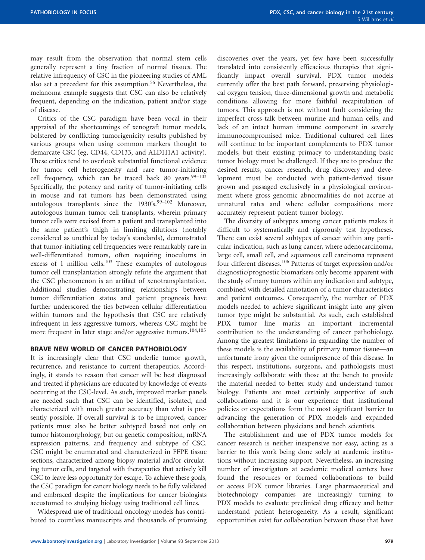may result from the observation that normal stem cells generally represent a tiny fraction of normal tissues. The relative infrequency of CSC in the pioneering studies of AML also set a precedent for this assumption.<sup>[56](#page-11-0)</sup> Nevertheless, the melanoma example suggests that CSC can also be relatively frequent, depending on the indication, patient and/or stage of disease.

Critics of the CSC paradigm have been vocal in their appraisal of the shortcomings of xenograft tumor models, bolstered by conflicting tumorigenicity results published by various groups when using common markers thought to demarcate CSC (eg, CD44, CD133, and ALDH1A1 activity). These critics tend to overlook substantial functional evidence for tumor cell heterogeneity and rare tumor-initiating cell frequency, which can be traced back 80 years. $99-103$ Specifically, the potency and rarity of tumor-initiating cells in mouse and rat tumors has been demonstrated using autologous transplants since the 1930's.[99–102](#page-12-0) Moreover, autologous human tumor cell transplants, wherein primary tumor cells were excised from a patient and transplanted into the same patient's thigh in limiting dilutions (notably considered as unethical by today's standards), demonstrated that tumor-initiating cell frequencies were remarkably rare in well-differentiated tumors, often requiring inoculums in excess of 1 million cells.<sup>[103](#page-12-0)</sup> These examples of autologous tumor cell transplantation strongly refute the argument that the CSC phenomenon is an artifact of xenotransplantation. Additional studies demonstrating relationships between tumor differentiation status and patient prognosis have further underscored the ties between cellular differentiation within tumors and the hypothesis that CSC are relatively infrequent in less aggressive tumors, whereas CSC might be more frequent in later stage and/or aggressive tumors.<sup>[104,105](#page-12-0)</sup>

#### BRAVE NEW WORLD OF CANCER PATHOBIOLOGY

It is increasingly clear that CSC underlie tumor growth, recurrence, and resistance to current therapeutics. Accordingly, it stands to reason that cancer will be best diagnosed and treated if physicians are educated by knowledge of events occurring at the CSC-level. As such, improved marker panels are needed such that CSC can be identified, isolated, and characterized with much greater accuracy than what is presently possible. If overall survival is to be improved, cancer patients must also be better subtyped based not only on tumor histomorphology, but on genetic composition, mRNA expression patterns, and frequency and subtype of CSC. CSC might be enumerated and characterized in FFPE tissue sections, characterized among biopsy material and/or circulating tumor cells, and targeted with therapeutics that actively kill CSC to leave less opportunity for escape. To achieve these goals, the CSC paradigm for cancer biology needs to be fully validated and embraced despite the implications for cancer biologists accustomed to studying biology using traditional cell lines.

Widespread use of traditional oncology models has contributed to countless manuscripts and thousands of promising discoveries over the years, yet few have been successfully translated into consistently efficacious therapies that significantly impact overall survival. PDX tumor models currently offer the best path forward, preserving physiological oxygen tension, three-dimensional growth and metabolic conditions allowing for more faithful recapitulation of tumors. This approach is not without fault considering the imperfect cross-talk between murine and human cells, and lack of an intact human immune component in severely immunocompromised mice. Traditional cultured cell lines will continue to be important complements to PDX tumor models, but their existing primacy to understanding basic tumor biology must be challenged. If they are to produce the desired results, cancer research, drug discovery and development must be conducted with patient-derived tissue grown and passaged exclusively in a physiological environment where gross genomic abnormalities do not accrue at unnatural rates and where cellular compositions more accurately represent patient tumor biology.

The diversity of subtypes among cancer patients makes it difficult to systematically and rigorously test hypotheses. There can exist several subtypes of cancer within any particular indication, such as lung cancer, where adenocarcinoma, large cell, small cell, and squamous cell carcinoma represent four different diseases.[106](#page-12-0) Patterns of target expression and/or diagnostic/prognostic biomarkers only become apparent with the study of many tumors within any indication and subtype, combined with detailed annotation of a tumor characteristics and patient outcomes. Consequently, the number of PDX models needed to achieve significant insight into any given tumor type might be substantial. As such, each established PDX tumor line marks an important incremental contribution to the understanding of cancer pathobiology. Among the greatest limitations in expanding the number of these models is the availability of primary tumor tissue—an unfortunate irony given the omnipresence of this disease. In this respect, institutions, surgeons, and pathologists must increasingly collaborate with those at the bench to provide the material needed to better study and understand tumor biology. Patients are most certainly supportive of such collaborations and it is our experience that institutional policies or expectations form the most significant barrier to advancing the generation of PDX models and expanded collaboration between physicians and bench scientists.

The establishment and use of PDX tumor models for cancer research is neither inexpensive nor easy, acting as a barrier to this work being done solely at academic institutions without increasing support. Nevertheless, an increasing number of investigators at academic medical centers have found the resources or formed collaborations to build or access PDX tumor libraries. Large pharmaceutical and biotechnology companies are increasingly turning to PDX models to evaluate preclinical drug efficacy and better understand patient heterogeneity. As a result, significant opportunities exist for collaboration between those that have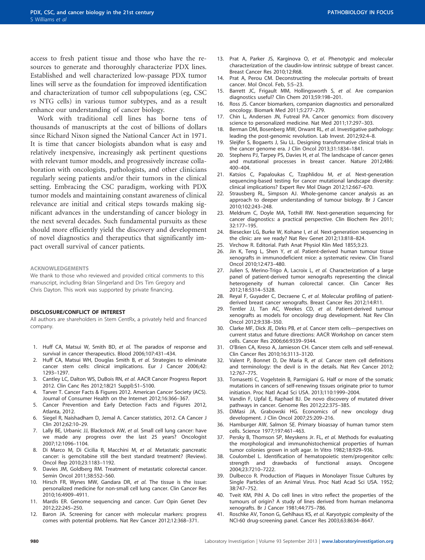<span id="page-10-0"></span>access to fresh patient tissue and those who have the resources to generate and thoroughly characterize PDX lines. Established and well characterized low-passage PDX tumor lines will serve as the foundation for improved identification and characterization of tumor cell subpopulations (eg, CSC vs NTG cells) in various tumor subtypes, and as a result enhance our understanding of cancer biology.

Work with traditional cell lines has borne tens of thousands of manuscripts at the cost of billions of dollars since Richard Nixon signed the National Cancer Act in 1971. It is time that cancer biologists abandon what is easy and relatively inexpensive, increasingly ask pertinent questions with relevant tumor models, and progressively increase collaboration with oncologists, pathologists, and other clinicians regularly seeing patients and/or their tumors in the clinical setting. Embracing the CSC paradigm, working with PDX tumor models and maintaining constant awareness of clinical relevance are initial and critical steps towards making significant advances in the understanding of cancer biology in the next several decades. Such fundamental pursuits as these should more efficiently yield the discovery and development of novel diagnostics and therapeutics that significantly impact overall survival of cancer patients.

#### ACKNOWLEDGEMENTS

We thank to those who reviewed and provided critical comments to this manuscript, including Brian Slingerland and Drs Tim Gregory and Chris Dayton. This work was supported by private financing.

#### DISCLOSURE/CONFLICT OF INTEREST

All authors are shareholders in Stem CentRx, a privately held and financed company.

- 1. Huff CA, Matsui W, Smith BD, et al. The paradox of response and survival in cancer therapeutics. Blood 2006;107:431–434.
- Huff CA, Matsui WH, Douglas Smith B, et al. Strategies to eliminate cancer stem cells: clinical implications. Eur J Cancer 2006;42: 1293–1297.
- 3. Cantley LC, Dalton WS, DuBois RN, et al. AACR Cancer Progress Report 2012. Clin Canc Res 2012;18(21 Suppl):S1–S100.
- Tarver T. Cancer Facts & Figures 2012. American Cancer Society (ACS). Journal of Consumer Health on the Internet 2012;16:366–367.
- 5. Cancer Prevention and Early Detection Facts and Figures 2012, Atlanta, 2012.
- 6. Siegel R, Naishadham D, Jemal A. Cancer statistics, 2012. CA Cancer J Clin 2012;62:10–29.
- 7. Lally BE, Urbanic JJ, Blackstock AW, et al. Small cell lung cancer: have we made any progress over the last 25 years? Oncologist 2007;12:1096–1104.
- 8. Di Marco M, Di Cicilia R, Macchini M, et al. Metastatic pancreatic cancer: is gemcitabine still the best standard treatment? (Review). Oncol Rep 2010;23:1183–1192.
- 9. Davies JM, Goldberg RM. Treatment of metastatic colorectal cancer. Semin Oncol 2011;38:552–560.
- 10. Hirsch FR, Wynes MW, Gandara DR, et al. The tissue is the issue: personalized medicine for non-small cell lung cancer. Clin Cancer Res 2010;16:4909–4911.
- 11. Mardis ER. Genome sequencing and cancer. Curr Opin Genet Dev 2012;22:245–250.
- 12. Baron JA. Screening for cancer with molecular markers: progress comes with potential problems. Nat Rev Cancer 2012;12:368–371.
- 13. Prat A, Parker JS, Karginova O, et al. Phenotypic and molecular characterization of the claudin-low intrinsic subtype of breast cancer. Breast Cancer Res 2010;12:R68.
- 14. Prat A, Perou CM. Deconstructing the molecular portraits of breast cancer. Mol Oncol. Feb, 5:5–23.
- 15. Barrett JC, Frigault MM, Hollingsworth S, et al. Are companion diagnostics useful? Clin Chem 2013;59:198–201.
- 16. Ross JS. Cancer biomarkers, companion diagnostics and personalized oncology. Biomark Med 2011;5:277–279.
- 17. Chin L, Andersen JN, Futreal PA. Cancer genomics: from discovery science to personalized medicine. Nat Med 2011;17:297–303.
- 18. Berman DM, Bosenberg MW, Orwant RL, et al. Investigative pathology: leading the post-genomic revolution. Lab Invest. 2012;92:4–8.
- 19. Sleijfer S, Bogaerts J, Siu LL. Designing transformative clinical trials in the cancer genome era. J Clin Oncol 2013;31:1834–1841.
- 20. Stephens PJ, Tarpey PS, Davies H, et al. The landscape of cancer genes and mutational processes in breast cancer. Nature 2012;486: 400–404.
- 21. Katsios C, Papaloukas C, Tzaphlidou M, et al. Next-generation sequencing-based testing for cancer mutational landscape diversity: clinical implications? Expert Rev Mol Diagn 2012;12:667–670.
- 22. Strausberg RL, Simpson AJ. Whole-genome cancer analysis as an approach to deeper understanding of tumour biology. Br J Cancer 2010;102:243–248.
- 23. Meldrum C, Doyle MA, Tothill RW. Next-generation sequencing for cancer diagnostics: a practical perspective. Clin Biochem Rev 2011; 32:177–195.
- 24. Biesecker LG, Burke W, Kohane I, et al. Next-generation sequencing in the clinic: are we ready? Nat Rev Genet 2012;13:818–824.
- 25. Virchow R. Editorial. Path Anat Physiol Klin Med 1855;3:23.
- 26. Jin K, Teng L, Shen Y, et al. Patient-derived human tumour tissue xenografts in immunodeficient mice: a systematic review. Clin Transl Oncol 2010;12:473–480.
- 27. Julien S, Merino-Trigo A, Lacroix L, et al. Characterization of a large panel of patient-derived tumor xenografts representing the clinical heterogeneity of human colorectal cancer. Clin Cancer Res 2012;18:5314–5328.
- 28. Reyal F, Guyader C, Decraene C, et al. Molecular profiling of patientderived breast cancer xenografts. Breast Cancer Res 2012;14:R11.
- 29. Tentler JJ, Tan AC, Weekes CD, et al. Patient-derived tumour xenografts as models for oncology drug development. Nat Rev Clin Oncol 2012;9:338–350.
- 30. Clarke MF, Dick JE, Dirks PB, et al. Cancer stem cells-perspectives on current status and future directions: AACR Workshop on cancer stem cells. Cancer Res 2006;66:9339–9344.
- 31. O'Brien CA, Kreso A, Jamieson CH. Cancer stem cells and self-renewal. Clin Cancer Res 2010;16:3113–3120.
- 32. Valent P, Bonnet D, De Maria R, et al. Cancer stem cell definitions and terminology: the devil is in the details. Nat Rev Cancer 2012; 12:767–775.
- 33. Tomasetti C, Vogelstein B, Parmigiani G. Half or more of the somatic mutations in cancers of self-renewing tissues originate prior to tumor initiation. Proc Natl Acad Sci USA. 2013;110:1999–2004.
- 34. Vandin F, Upfal E, Raphael BJ. De novo discovery of mutated driver pathways in cancer. Genome Res 2012;22:375–385.
- 35. DiMasi JA, Grabowski HG. Economics of new oncology drug development. J Clin Oncol 2007;25:209–216.
- 36. Hamburger AW, Salmon SE. Primary bioassay of human tumor stem cells. Science 1977;197:461–463.
- 37. Persky B, Thomson SP, Meyskens Jr. FL, et al. Methods for evaluating the morphological and immunohistochemical properties of human tumor colonies grown in soft agar. In Vitro 1982;18:929–936.
- 38. Coulombel L. Identification of hematopoietic stem/progenitor cells: strength and drawbacks of functional assays. Oncogene 2004;23:7210–7222.
- 39. Dulbecco R. Production of Plaques in Monolayer Tissue Cultures by Single Particles of an Animal Virus. Proc Natl Acad Sci USA. 1952; 38:747–752.
- 40. Tveit KM, Pihl A. Do cell lines in vitro reflect the properties of the tumours of origin? A study of lines derived from human melanoma xenografts. Br J Cancer 1981;44:775–786.
- 41. Roschke AV, Tonon G, Gehlhaus KS, et al. Karyotypic complexity of the NCI-60 drug-screening panel. Cancer Res 2003;63:8634–8647.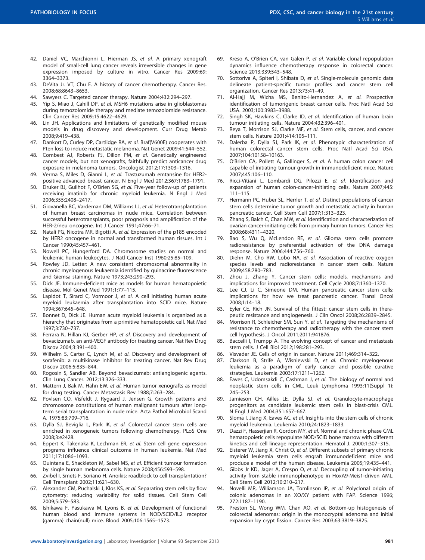- <span id="page-11-0"></span>42. Daniel VC, Marchionni L, Hierman JS, et al. A primary xenograft model of small-cell lung cancer reveals irreversible changes in gene expression imposed by culture in vitro. Cancer Res 2009;69: 3364–3373.
- 43. DeVita Jr. VT, Chu E. A history of cancer chemotherapy. Cancer Res. 2008;68:8643–8653.
- 44. Sawyers C. Targeted cancer therapy. Nature 2004;432:294–297.
- 45. Yip S, Miao J, Cahill DP, et al. MSH6 mutations arise in glioblastomas during temozolomide therapy and mediate temozolomide resistance. Clin Cancer Res 2009;15:4622–4629.
- Lin JH. Applications and limitations of genetically modified mouse models in drug discovery and development. Curr Drug Metab 2008;9:419–438.
- 47. Dankort D, Curley DP, Cartlidge RA, et al. Braf(V600E) cooperates with Pten loss to induce metastatic melanoma. Nat Genet 2009;41:544–552.
- 48. Combest AJ, Roberts PJ, Dillon PM, et al. Genetically engineered cancer models, but not xenografts, faithfully predict anticancer drug exposure in melanoma tumors. Oncologist 2012;17:1303–1316.
- 49. Verma S, Miles D, Gianni L, et al. Trastuzumab emtansine for HER2positive advanced breast cancer. N Engl J Med 2012;367:1783–1791.
- 50. Druker BJ, Guilhot F, O'Brien SG, et al. Five-year follow-up of patients receiving imatinib for chronic myeloid leukemia. N Engl J Med 2006;355:2408–2417.
- 51. Giovanella BC, Vardeman DM, Williams LJ, et al. Heterotransplantation of human breast carcinomas in nude mice. Correlation between successful heterotransplants, poor prognosis and amplification of the HER-2/neu oncogene. Int J Cancer 1991;47:66–71.
- 52. Natali PG, Nicotra MR, Bigotti A, et al. Expression of the p185 encoded by HER2 oncogene in normal and transformed human tissues. Int J Cancer 1990;45:457–461.
- 53. Nowell PC, Hungerford DA. Chromosome studies on normal and leukemic human leukocytes. J Natl Cancer Inst 1960;25:85–109.
- 54. Rowley JD. Letter: A new consistent chromosomal abnormality in chronic myelogenous leukaemia identified by quinacrine fluorescence and Giemsa staining. Nature 1973;243:290–293.
- 55. Dick JE. Immune-deficient mice as models for human hematopoietic disease. Mol Genet Med 1991;1:77–115.
- 56. Lapidot T, Sirard C, Vormoor J, et al. A cell initiating human acute myeloid leukaemia after transplantation into SCID mice. Nature 1994;367:645–648.
- 57. Bonnet D, Dick JE. Human acute myeloid leukemia is organized as a hierarchy that originates from a primitive hematopoietic cell. Nat Med 1997;3:730–737.
- 58. Ferrara N, Hillan KJ, Gerber HP, et al. Discovery and development of bevacizumab, an anti-VEGF antibody for treating cancer. Nat Rev Drug Discov 2004;3:391–400.
- 59. Wilhelm S, Carter C, Lynch M, et al. Discovery and development of sorafenib: a multikinase inhibitor for treating cancer. Nat Rev Drug Discov 2006;5:835–844.
- 60. Rogosin S, Sandler AB. Beyond bevacizumab: antiangiogenic agents. Clin Lung Cancer. 2012;13:326–333.
- 61. Mattern J, Bak M, Hahn EW, et al. Human tumor xenografts as model for drug testing. Cancer Metastasis Rev 1988;7:263–284.
- 62. Povlsen CO, Visfeldt J, Rygaard J, Jensen G. Growth patterns and chromosome constitutions of human malignant tumours after longterm serial transplantation in nude mice. Acta Pathol Microbiol Scand A. 1975;83:709–716.
- 63. Dylla SJ, Beviglia L, Park IK, et al. Colorectal cancer stem cells are enriched in xenogeneic tumors following chemotherapy. PLoS One 2008;3:e2428.
- Eppert K, Takenaka K, Lechman ER, et al. Stem cell gene expression programs influence clinical outcome in human leukemia. Nat Med 2011;17:1086–1093.
- 65. Quintana E, Shackleton M, Sabel MS, et al. Efficient tumour formation by single human melanoma cells. Nature 2008;456:593–598.
- 66. Zvibel I, Smets F, Soriano H. Anoikis: roadblock to cell transplantation? Cell Transplant 2002;11:621–630.
- 67. Alexander CM, Puchalski J, Klos KS, et al. Separating stem cells by flow cytometry: reducing variability for solid tissues. Cell Stem Cell 2009;5:579–583.
- 68. Ishikawa F, Yasukawa M, Lyons B, et al. Development of functional human blood and immune systems in NOD/SCID/IL2 receptor {gamma} chain(null) mice. Blood 2005;106:1565–1573.
- 69. Kreso A, O'Brien CA, van Galen P, et al. Variable clonal repopulation dynamics influence chemotherapy response in colorectal cancer. Science 2013;339:543–548.
- 70. Sottoriva A, Spiteri I, Shibata D, et al. Single-molecule genomic data delineate patient-specific tumor profiles and cancer stem cell organization. Cancer Res 2013;73:41–49.
- 71. Al-Hajj M, Wicha MS, Benito-Hernandez A, et al. Prospective identification of tumorigenic breast cancer cells. Proc Natl Acad Sci USA. 2003;100:3983–3988.
- 72. Singh SK, Hawkins C, Clarke ID, et al. Identification of human brain tumour initiating cells. Nature 2004;432:396–401.
- 73. Reya T, Morrison SJ, Clarke MF, et al. Stem cells, cancer, and cancer stem cells. Nature 2001;414:105–111.
- 74. Dalerba P, Dylla SJ, Park IK, et al. Phenotypic characterization of human colorectal cancer stem cells. Proc Natl Acad Sci USA. 2007;104:10158–10163.
- 75. O'Brien CA, Pollett A, Gallinger S, et al. A human colon cancer cell capable of initiating tumour growth in immunodeficient mice. Nature 2007;445:106–110.
- 76. Ricci-Vitiani L, Lombardi DG, Pilozzi E, et al. Identification and expansion of human colon-cancer-initiating cells. Nature 2007;445: 111–115.
- 77. Hermann PC, Huber SL, Herrler T, et al. Distinct populations of cancer stem cells determine tumor growth and metastatic activity in human pancreatic cancer. Cell Stem Cell 2007;1:313–323.
- 78. Zhang S, Balch C, Chan MW, et al. Identification and characterization of ovarian cancer-initiating cells from primary human tumors. Cancer Res 2008;68:4311–4320.
- 79. Bao S, Wu Q, McLendon RE, et al. Glioma stem cells promote radioresistance by preferential activation of the DNA damage response. Nature 2006;444:756–760.
- 80. Diehn M, Cho RW, Lobo NA, et al. Association of reactive oxygen species levels and radioresistance in cancer stem cells. Nature 2009;458:780–783.
- 81. Zhou J, Zhang Y. Cancer stem cells: models, mechanisms and implications for improved treatment. Cell Cycle 2008;7:1360–1370.
- 82. Lee CJ, Li C, Simeone DM. Human pancreatic cancer stem cells: implications for how we treat pancreatic cancer. Transl Oncol 2008;1:14–18.
- 83. Eyler CE, Rich JN. Survival of the fittest: cancer stem cells in therapeutic resistance and angiogenesis. J Clin Oncol 2008;26:2839–2845.
- 84. Morrison R, Schleicher SM, Sun Y, et al. Targeting the mechanisms of resistance to chemotherapy and radiotherapy with the cancer stem cell hypothesis. J Oncol 2011;2011:941876.
- 85. Baccelli I, Trumpp A. The evolving concept of cancer and metastasis stem cells. J Cell Biol 2012;198:281–293.
- 86. Visvader JE. Cells of origin in cancer. Nature 2011;469:314–322.
- 87. Clarkson B, Strife A, Wisniewski D, et al. Chronic myelogenous leukemia as a paradigm of early cancer and possible curative strategies. Leukemia 2003;17:1211–1262.
- 88. Eaves C, Udomsakdi C, Cashman J, et al. The biology of normal and neoplastic stem cells in CML. Leuk Lymphoma 1993;11(Suppl 1): 245–253.
- 89. Jamieson CH, Ailles LE, Dylla SJ, et al. Granulocyte-macrophage progenitors as candidate leukemic stem cells in blast-crisis CML. N Engl J Med 2004;351:657–667.
- 90. Sloma I, Jiang X, Eaves AC, et al. Insights into the stem cells of chronic myeloid leukemia. Leukemia 2010;24:1823–1833.
- 91. Dazzi F, Hasserjian R, Gordon MY, et al. Normal and chronic phase CML hematopoietic cells repopulate NOD/SCID bone marrow with different kinetics and cell lineage representation. Hematol J. 2000;1:307–315.
- 92. Eisterer W, Jiang X, Christ O, et al. Different subsets of primary chronic myeloid leukemia stem cells engraft immunodeficient mice and produce a model of the human disease. Leukemia 2005;19:435–441.
- 93. Gibbs Jr KD, Jager A, Crespo O, et al. Decoupling of tumor-initiating activity from stable immunophenotype in HoxA9-Meis1-driven AML. Cell Stem Cell 2012;10:210–217.
- 94. Novelli MR, Williamson JA, Tomlinson IP, et al. Polyclonal origin of colonic adenomas in an XO/XY patient with FAP. Science 1996; 272:1187–1190.
- 95. Preston SL, Wong WM, Chan AO, et al. Bottom-up histogenesis of colorectal adenomas: origin in the monocryptal adenoma and initial expansion by crypt fission. Cancer Res 2003;63:3819–3825.